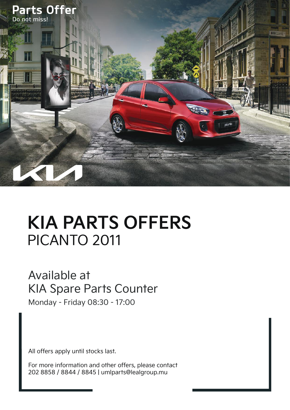

## **KIA PARTS OFFERS** PICANTO 2011

## Available at KIA Spare Parts Counter

Monday - Friday 08:30 - 17:00

All offers apply until stocks last.

For more information and other offers, please contact 202 8858 / 8844 / 8845 | umlparts@lealgroup.mu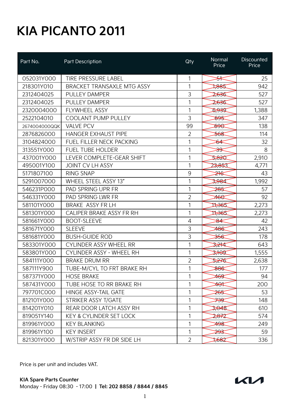## **KIA PICANTO 2011**

| Part No.      | Part Description                   | Qty            | Normal<br>Price  | <b>Discounted</b><br>Price |
|---------------|------------------------------------|----------------|------------------|----------------------------|
| 052031Y000    | <b>TIRE PRESSURE LABEL</b>         | 1              | <del>&gt;⊀</del> | 25                         |
| 218301Y010    | <b>BRACKET TRANSAXLE MTG ASSY</b>  | 1              | 7885             | 942                        |
| 2312404025    | <b>PULLEY DAMPER</b>               | 3              | 2,636            | 527                        |
| 2312404025    | <b>PULLEY DAMPER</b>               | 1              | 2,636            | 527                        |
| 2320004000    | FLYWHEEL ASSY                      | 1              | D-939            | 1,388                      |
| 2522104010    | <b>COOLANT PUMP PULLEY</b>         | 3              | 895              | 347                        |
| 2674004000QQK | <b>VALVE PCV</b>                   | 99             | <b>DOB</b>       | 138                        |
| 2876826000    | <b>HANGER EXHAUST PIPE</b>         | $\overline{2}$ | <del>568</del>   | 114                        |
| 3104824000    | <b>FUEL FILLER NECK PACKING</b>    | 1              | ঠ≰               | 32                         |
| 313551Y000    | <b>FUEL TUBE HOLDER</b>            | 1              | <del>39</del>    | 8                          |
| 437001Y000    | LEVER COMPLETE-GEAR SHIFT          | 1              | 5,820            | 2,910                      |
| 495001Y100    | <b>JOINT CV LH ASSY</b>            | 1              | 23,853           | 4,771                      |
| 5171807100    | <b>RING SNAP</b>                   | 9              | <del>≱16</del>   | 43                         |
| 5291007000    | WHEEL STEEL ASSY 13"               | 1              | 3,984            | 1,992                      |
| 546231P000    | PAD SPRING UPR FR                  | 1              | <del>285</del>   | 57                         |
| 546331Y000    | PAD SPRING LWR FR                  | $\overline{2}$ | <del>460</del>   | 92                         |
| 581101Y000    | BRAKE ASSY FR LH                   | 1              | 17365            | 2,273                      |
| 581301Y000    | CALIPER BRAKE ASSY FR RH           | 1              | 17365            | 2,273                      |
| 581661Y000    | <b>BOOT-SLEEVE</b>                 | $\overline{4}$ | 84               | 42                         |
| 581671Y000    | <b>SLEEVE</b>                      | 3              | 486              | 243                        |
| 581681Y000    | <b>BUSH-GUIDE ROD</b>              | 3              | <del>356</del>   | 178                        |
| 583301Y000    | <b>CYLINDER ASSY WHEEL RR</b>      | 1              | 3,244            | 643                        |
| 583801Y000    | CYLINDER ASSY - WHEEL RH           | 1              | 276T             | 1,555                      |
| 584111Y000    | <b>BRAKE DRUM RR</b>               | $\overline{2}$ | 5,276            | 2,638                      |
| 587111Y900    | TUBE-M/CYL TO FRT BRAKE RH         | 1              | 886              | 177                        |
| 587371Y000    | <b>HOSE BRAKE</b>                  | 1              | 469              | 94                         |
| 587431Y000    | TUBE HOSE TO RR BRAKE RH           | 1              | ≄⊖≮              | 200                        |
| 797701C000    | <b>HINGE ASSY-TAIL GATE</b>        | 1              | <del>265</del>   | 53                         |
| 812101Y000    | STRIKER ASSY T/GATE                | 1              | ⋙                | 148                        |
| 814201Y010    | REAR DOOR LATCH ASSY RH            | 1              | 3,048            | 610                        |
| 819051Y140    | <b>KEY &amp; CYLINDER SET LOCK</b> | 1              | 2872             | 574                        |
| 819961Y000    | <b>KEY BLANKING</b>                | 1              | 498              | 249                        |
| 819961Y100    | <b>KEY INSERT</b>                  | 1              | <del>293</del>   | 59                         |
| 821301Y000    | W/STRIP ASSY FR DR SIDE LH         | $\overline{2}$ | 1,682            | 336                        |

Price is per unit and includes VAT.